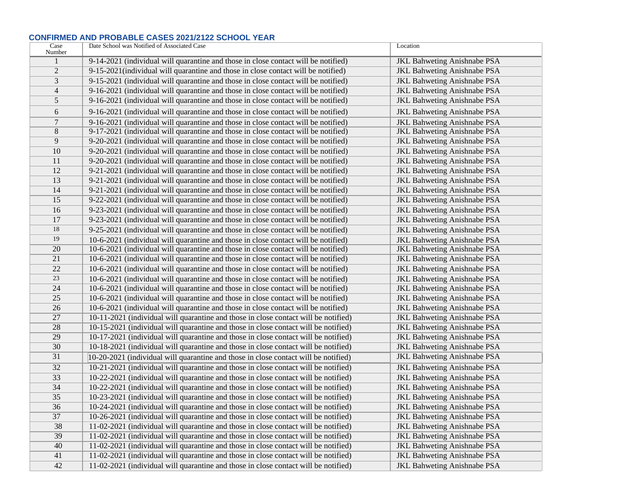## **CONFIRMED AND PROBABLE CASES 2021/2122 SCHOOL YEAR**

| Case            | Date School was Notified of Associated Case                                         | Location                           |
|-----------------|-------------------------------------------------------------------------------------|------------------------------------|
| Number          | 9-14-2021 (individual will quarantine and those in close contact will be notified)  |                                    |
| $\overline{2}$  |                                                                                     | <b>JKL Bahweting Anishnabe PSA</b> |
|                 | 9-15-2021 (individual will quarantine and those in close contact will be notified)  | <b>JKL Bahweting Anishnabe PSA</b> |
| 3               | 9-15-2021 (individual will quarantine and those in close contact will be notified)  | <b>JKL Bahweting Anishnabe PSA</b> |
| $\overline{4}$  | 9-16-2021 (individual will quarantine and those in close contact will be notified)  | <b>JKL Bahweting Anishnabe PSA</b> |
| 5               | 9-16-2021 (individual will quarantine and those in close contact will be notified)  | <b>JKL Bahweting Anishnabe PSA</b> |
| 6               | 9-16-2021 (individual will quarantine and those in close contact will be notified)  | <b>JKL Bahweting Anishnabe PSA</b> |
| $\overline{7}$  | 9-16-2021 (individual will quarantine and those in close contact will be notified)  | <b>JKL Bahweting Anishnabe PSA</b> |
| $8\,$           | 9-17-2021 (individual will quarantine and those in close contact will be notified)  | <b>JKL Bahweting Anishnabe PSA</b> |
| 9               | 9-20-2021 (individual will quarantine and those in close contact will be notified)  | <b>JKL Bahweting Anishnabe PSA</b> |
| 10              | 9-20-2021 (individual will quarantine and those in close contact will be notified)  | <b>JKL Bahweting Anishnabe PSA</b> |
| 11              | 9-20-2021 (individual will quarantine and those in close contact will be notified)  | <b>JKL Bahweting Anishnabe PSA</b> |
| 12              | 9-21-2021 (individual will quarantine and those in close contact will be notified)  | <b>JKL Bahweting Anishnabe PSA</b> |
| 13              | 9-21-2021 (individual will quarantine and those in close contact will be notified)  | <b>JKL Bahweting Anishnabe PSA</b> |
| 14              | 9-21-2021 (individual will quarantine and those in close contact will be notified)  | <b>JKL Bahweting Anishnabe PSA</b> |
| $\overline{15}$ | 9-22-2021 (individual will quarantine and those in close contact will be notified)  | JKL Bahweting Anishnabe PSA        |
| 16              | 9-23-2021 (individual will quarantine and those in close contact will be notified)  | JKL Bahweting Anishnabe PSA        |
| 17              | 9-23-2021 (individual will quarantine and those in close contact will be notified)  | <b>JKL Bahweting Anishnabe PSA</b> |
| 18              | 9-25-2021 (individual will quarantine and those in close contact will be notified)  | <b>JKL Bahweting Anishnabe PSA</b> |
| 19              | 10-6-2021 (individual will quarantine and those in close contact will be notified)  | <b>JKL Bahweting Anishnabe PSA</b> |
| 20              | 10-6-2021 (individual will quarantine and those in close contact will be notified)  | <b>JKL Bahweting Anishnabe PSA</b> |
| 21              | 10-6-2021 (individual will quarantine and those in close contact will be notified)  | <b>JKL Bahweting Anishnabe PSA</b> |
| 22              | 10-6-2021 (individual will quarantine and those in close contact will be notified)  | <b>JKL Bahweting Anishnabe PSA</b> |
| 23              | 10-6-2021 (individual will quarantine and those in close contact will be notified)  | <b>JKL Bahweting Anishnabe PSA</b> |
| 24              | 10-6-2021 (individual will quarantine and those in close contact will be notified)  | <b>JKL</b> Bahweting Anishnabe PSA |
| 25              | 10-6-2021 (individual will quarantine and those in close contact will be notified)  | <b>JKL Bahweting Anishnabe PSA</b> |
| 26              | 10-6-2021 (individual will quarantine and those in close contact will be notified)  | <b>JKL Bahweting Anishnabe PSA</b> |
| 27              | 10-11-2021 (individual will quarantine and those in close contact will be notified) | <b>JKL Bahweting Anishnabe PSA</b> |
| 28              | 10-15-2021 (individual will quarantine and those in close contact will be notified) | <b>JKL Bahweting Anishnabe PSA</b> |
| 29              | 10-17-2021 (individual will quarantine and those in close contact will be notified) | <b>JKL Bahweting Anishnabe PSA</b> |
| 30              | 10-18-2021 (individual will quarantine and those in close contact will be notified) | <b>JKL Bahweting Anishnabe PSA</b> |
| $\overline{31}$ | 10-20-2021 (individual will quarantine and those in close contact will be notified) | <b>JKL Bahweting Anishnabe PSA</b> |
| 32              | 10-21-2021 (individual will quarantine and those in close contact will be notified) | <b>JKL Bahweting Anishnabe PSA</b> |
| 33              | 10-22-2021 (individual will quarantine and those in close contact will be notified) | <b>JKL Bahweting Anishnabe PSA</b> |
| 34              | 10-22-2021 (individual will quarantine and those in close contact will be notified) | <b>JKL Bahweting Anishnabe PSA</b> |
| 35              | 10-23-2021 (individual will quarantine and those in close contact will be notified) | <b>JKL Bahweting Anishnabe PSA</b> |
| 36              | 10-24-2021 (individual will quarantine and those in close contact will be notified) | <b>JKL Bahweting Anishnabe PSA</b> |
| 37              | 10-26-2021 (individual will quarantine and those in close contact will be notified) | <b>JKL Bahweting Anishnabe PSA</b> |
| 38              | 11-02-2021 (individual will quarantine and those in close contact will be notified) | <b>JKL Bahweting Anishnabe PSA</b> |
| 39              | 11-02-2021 (individual will quarantine and those in close contact will be notified) | <b>JKL Bahweting Anishnabe PSA</b> |
| 40              | 11-02-2021 (individual will quarantine and those in close contact will be notified) | <b>JKL Bahweting Anishnabe PSA</b> |
| 41              | 11-02-2021 (individual will quarantine and those in close contact will be notified) | <b>JKL Bahweting Anishnabe PSA</b> |
| 42              | 11-02-2021 (individual will quarantine and those in close contact will be notified) | <b>JKL Bahweting Anishnabe PSA</b> |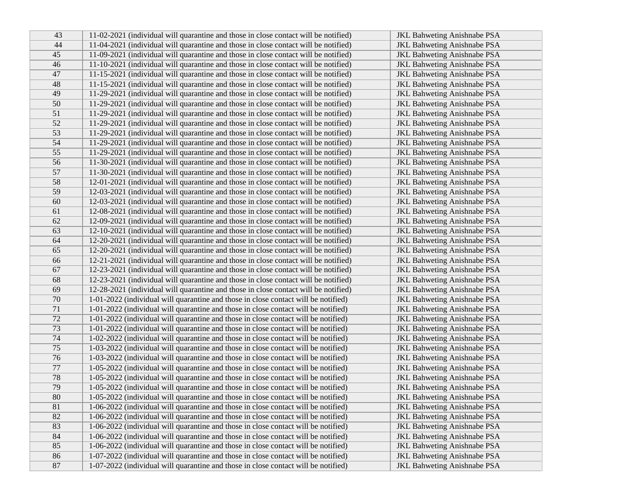| 43              | 11-02-2021 (individual will quarantine and those in close contact will be notified) | <b>JKL Bahweting Anishnabe PSA</b> |
|-----------------|-------------------------------------------------------------------------------------|------------------------------------|
| 44              | 11-04-2021 (individual will quarantine and those in close contact will be notified) | <b>JKL Bahweting Anishnabe PSA</b> |
| 45              | 11-09-2021 (individual will quarantine and those in close contact will be notified) | <b>JKL Bahweting Anishnabe PSA</b> |
| 46              | 11-10-2021 (individual will quarantine and those in close contact will be notified) | JKL Bahweting Anishnabe PSA        |
| 47              | 11-15-2021 (individual will quarantine and those in close contact will be notified) | <b>JKL Bahweting Anishnabe PSA</b> |
| 48              | 11-15-2021 (individual will quarantine and those in close contact will be notified) | <b>JKL Bahweting Anishnabe PSA</b> |
| 49              | 11-29-2021 (individual will quarantine and those in close contact will be notified) | <b>JKL Bahweting Anishnabe PSA</b> |
| 50              | 11-29-2021 (individual will quarantine and those in close contact will be notified) | JKL Bahweting Anishnabe PSA        |
| 51              | 11-29-2021 (individual will quarantine and those in close contact will be notified) | JKL Bahweting Anishnabe PSA        |
| 52              | 11-29-2021 (individual will quarantine and those in close contact will be notified) | <b>JKL Bahweting Anishnabe PSA</b> |
| 53              | 11-29-2021 (individual will quarantine and those in close contact will be notified) | JKL Bahweting Anishnabe PSA        |
| 54              | 11-29-2021 (individual will quarantine and those in close contact will be notified) | <b>JKL Bahweting Anishnabe PSA</b> |
| $\overline{55}$ | 11-29-2021 (individual will quarantine and those in close contact will be notified) | <b>JKL Bahweting Anishnabe PSA</b> |
| 56              | 11-30-2021 (individual will quarantine and those in close contact will be notified) | <b>JKL Bahweting Anishnabe PSA</b> |
| 57              | 11-30-2021 (individual will quarantine and those in close contact will be notified) | <b>JKL Bahweting Anishnabe PSA</b> |
| 58              | 12-01-2021 (individual will quarantine and those in close contact will be notified) | <b>JKL Bahweting Anishnabe PSA</b> |
| 59              | 12-03-2021 (individual will quarantine and those in close contact will be notified) | <b>JKL Bahweting Anishnabe PSA</b> |
| 60              | 12-03-2021 (individual will quarantine and those in close contact will be notified) | <b>JKL Bahweting Anishnabe PSA</b> |
| 61              | 12-08-2021 (individual will quarantine and those in close contact will be notified) | <b>JKL Bahweting Anishnabe PSA</b> |
| 62              | 12-09-2021 (individual will quarantine and those in close contact will be notified) | <b>JKL Bahweting Anishnabe PSA</b> |
| 63              | 12-10-2021 (individual will quarantine and those in close contact will be notified) | <b>JKL Bahweting Anishnabe PSA</b> |
| 64              | 12-20-2021 (individual will quarantine and those in close contact will be notified) | <b>JKL Bahweting Anishnabe PSA</b> |
| 65              | 12-20-2021 (individual will quarantine and those in close contact will be notified) | <b>JKL Bahweting Anishnabe PSA</b> |
| 66              | 12-21-2021 (individual will quarantine and those in close contact will be notified) | <b>JKL Bahweting Anishnabe PSA</b> |
| 67              | 12-23-2021 (individual will quarantine and those in close contact will be notified) | <b>JKL Bahweting Anishnabe PSA</b> |
| 68              | 12-23-2021 (individual will quarantine and those in close contact will be notified) | <b>JKL Bahweting Anishnabe PSA</b> |
| 69              | 12-28-2021 (individual will quarantine and those in close contact will be notified) | JKL Bahweting Anishnabe PSA        |
| 70              | 1-01-2022 (individual will quarantine and those in close contact will be notified)  | <b>JKL Bahweting Anishnabe PSA</b> |
| 71              | 1-01-2022 (individual will quarantine and those in close contact will be notified)  | JKL Bahweting Anishnabe PSA        |
| 72              | 1-01-2022 (individual will quarantine and those in close contact will be notified)  | <b>JKL Bahweting Anishnabe PSA</b> |
| $\overline{73}$ | 1-01-2022 (individual will quarantine and those in close contact will be notified)  | <b>JKL Bahweting Anishnabe PSA</b> |
| 74              | 1-02-2022 (individual will quarantine and those in close contact will be notified)  | <b>JKL Bahweting Anishnabe PSA</b> |
| 75              | 1-03-2022 (individual will quarantine and those in close contact will be notified)  | <b>JKL Bahweting Anishnabe PSA</b> |
| 76              | 1-03-2022 (individual will quarantine and those in close contact will be notified)  | <b>JKL Bahweting Anishnabe PSA</b> |
| 77              | 1-05-2022 (individual will quarantine and those in close contact will be notified)  | <b>JKL Bahweting Anishnabe PSA</b> |
| 78              | 1-05-2022 (individual will quarantine and those in close contact will be notified)  | <b>JKL Bahweting Anishnabe PSA</b> |
| 79              | 1-05-2022 (individual will quarantine and those in close contact will be notified)  | <b>JKL Bahweting Anishnabe PSA</b> |
| 80              | 1-05-2022 (individual will quarantine and those in close contact will be notified)  | JKL Bahweting Anishnabe PSA        |
| 81              | 1-06-2022 (individual will quarantine and those in close contact will be notified)  | <b>JKL Bahweting Anishnabe PSA</b> |
| 82              | 1-06-2022 (individual will quarantine and those in close contact will be notified)  | JKL Bahweting Anishnabe PSA        |
| 83              | 1-06-2022 (individual will quarantine and those in close contact will be notified)  | <b>JKL Bahweting Anishnabe PSA</b> |
| 84              | 1-06-2022 (individual will quarantine and those in close contact will be notified)  | <b>JKL Bahweting Anishnabe PSA</b> |
| 85              | 1-06-2022 (individual will quarantine and those in close contact will be notified)  | <b>JKL Bahweting Anishnabe PSA</b> |
| 86              | 1-07-2022 (individual will quarantine and those in close contact will be notified)  | <b>JKL Bahweting Anishnabe PSA</b> |
| 87              | 1-07-2022 (individual will quarantine and those in close contact will be notified)  | <b>JKL Bahweting Anishnabe PSA</b> |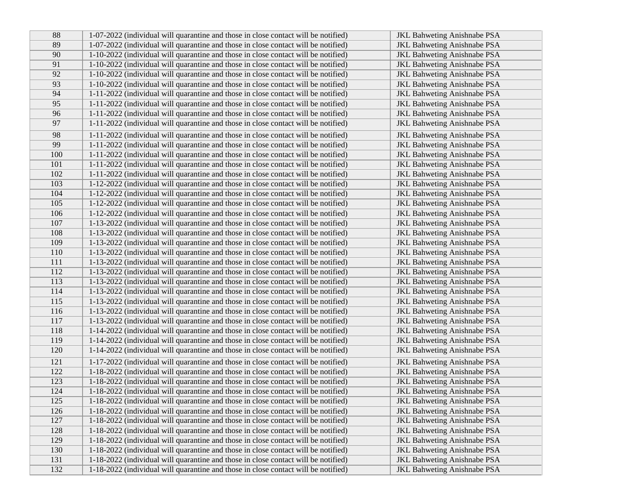| 88  | 1-07-2022 (individual will quarantine and those in close contact will be notified) | <b>JKL Bahweting Anishnabe PSA</b> |
|-----|------------------------------------------------------------------------------------|------------------------------------|
| 89  | 1-07-2022 (individual will quarantine and those in close contact will be notified) | <b>JKL Bahweting Anishnabe PSA</b> |
| 90  | 1-10-2022 (individual will quarantine and those in close contact will be notified) | <b>JKL Bahweting Anishnabe PSA</b> |
| 91  | 1-10-2022 (individual will quarantine and those in close contact will be notified) | <b>JKL Bahweting Anishnabe PSA</b> |
| 92  | 1-10-2022 (individual will quarantine and those in close contact will be notified) | <b>JKL Bahweting Anishnabe PSA</b> |
| 93  | 1-10-2022 (individual will quarantine and those in close contact will be notified) | <b>JKL Bahweting Anishnabe PSA</b> |
| 94  | 1-11-2022 (individual will quarantine and those in close contact will be notified) | <b>JKL Bahweting Anishnabe PSA</b> |
| 95  | 1-11-2022 (individual will quarantine and those in close contact will be notified) | <b>JKL Bahweting Anishnabe PSA</b> |
| 96  | 1-11-2022 (individual will quarantine and those in close contact will be notified) | <b>JKL Bahweting Anishnabe PSA</b> |
| 97  | 1-11-2022 (individual will quarantine and those in close contact will be notified) | <b>JKL Bahweting Anishnabe PSA</b> |
| 98  | 1-11-2022 (individual will quarantine and those in close contact will be notified) | <b>JKL Bahweting Anishnabe PSA</b> |
| 99  | 1-11-2022 (individual will quarantine and those in close contact will be notified) | <b>JKL Bahweting Anishnabe PSA</b> |
| 100 | 1-11-2022 (individual will quarantine and those in close contact will be notified) | <b>JKL Bahweting Anishnabe PSA</b> |
| 101 | 1-11-2022 (individual will quarantine and those in close contact will be notified) | <b>JKL Bahweting Anishnabe PSA</b> |
| 102 | 1-11-2022 (individual will quarantine and those in close contact will be notified) | <b>JKL Bahweting Anishnabe PSA</b> |
| 103 | 1-12-2022 (individual will quarantine and those in close contact will be notified) | <b>JKL Bahweting Anishnabe PSA</b> |
| 104 | 1-12-2022 (individual will quarantine and those in close contact will be notified) | <b>JKL Bahweting Anishnabe PSA</b> |
| 105 | 1-12-2022 (individual will quarantine and those in close contact will be notified) | <b>JKL Bahweting Anishnabe PSA</b> |
| 106 | 1-12-2022 (individual will quarantine and those in close contact will be notified) | <b>JKL Bahweting Anishnabe PSA</b> |
| 107 | 1-13-2022 (individual will quarantine and those in close contact will be notified) | <b>JKL Bahweting Anishnabe PSA</b> |
| 108 | 1-13-2022 (individual will quarantine and those in close contact will be notified) | <b>JKL Bahweting Anishnabe PSA</b> |
| 109 | 1-13-2022 (individual will quarantine and those in close contact will be notified) | <b>JKL Bahweting Anishnabe PSA</b> |
| 110 | 1-13-2022 (individual will quarantine and those in close contact will be notified) | <b>JKL Bahweting Anishnabe PSA</b> |
| 111 | 1-13-2022 (individual will quarantine and those in close contact will be notified) | <b>JKL Bahweting Anishnabe PSA</b> |
| 112 | 1-13-2022 (individual will quarantine and those in close contact will be notified) | <b>JKL Bahweting Anishnabe PSA</b> |
| 113 | 1-13-2022 (individual will quarantine and those in close contact will be notified) | <b>JKL Bahweting Anishnabe PSA</b> |
| 114 | 1-13-2022 (individual will quarantine and those in close contact will be notified) | <b>JKL Bahweting Anishnabe PSA</b> |
| 115 | 1-13-2022 (individual will quarantine and those in close contact will be notified) | <b>JKL Bahweting Anishnabe PSA</b> |
| 116 | 1-13-2022 (individual will quarantine and those in close contact will be notified) | <b>JKL Bahweting Anishnabe PSA</b> |
| 117 | 1-13-2022 (individual will quarantine and those in close contact will be notified) | <b>JKL Bahweting Anishnabe PSA</b> |
| 118 | 1-14-2022 (individual will quarantine and those in close contact will be notified) | <b>JKL Bahweting Anishnabe PSA</b> |
| 119 | 1-14-2022 (individual will quarantine and those in close contact will be notified) | <b>JKL Bahweting Anishnabe PSA</b> |
| 120 | 1-14-2022 (individual will quarantine and those in close contact will be notified) | <b>JKL Bahweting Anishnabe PSA</b> |
| 121 | 1-17-2022 (individual will quarantine and those in close contact will be notified) | <b>JKL Bahweting Anishnabe PSA</b> |
| 122 | 1-18-2022 (individual will quarantine and those in close contact will be notified) | <b>JKL Bahweting Anishnabe PSA</b> |
| 123 | 1-18-2022 (individual will quarantine and those in close contact will be notified) | <b>JKL Bahweting Anishnabe PSA</b> |
| 124 | 1-18-2022 (individual will quarantine and those in close contact will be notified) | <b>JKL Bahweting Anishnabe PSA</b> |
| 125 | 1-18-2022 (individual will quarantine and those in close contact will be notified) | <b>JKL Bahweting Anishnabe PSA</b> |
| 126 | 1-18-2022 (individual will quarantine and those in close contact will be notified) | <b>JKL Bahweting Anishnabe PSA</b> |
| 127 | 1-18-2022 (individual will quarantine and those in close contact will be notified) | <b>JKL Bahweting Anishnabe PSA</b> |
| 128 | 1-18-2022 (individual will quarantine and those in close contact will be notified) | <b>JKL Bahweting Anishnabe PSA</b> |
| 129 | 1-18-2022 (individual will quarantine and those in close contact will be notified) | <b>JKL Bahweting Anishnabe PSA</b> |
| 130 | 1-18-2022 (individual will quarantine and those in close contact will be notified) | <b>JKL Bahweting Anishnabe PSA</b> |
| 131 | 1-18-2022 (individual will quarantine and those in close contact will be notified) | <b>JKL Bahweting Anishnabe PSA</b> |
| 132 | 1-18-2022 (individual will quarantine and those in close contact will be notified) | <b>JKL Bahweting Anishnabe PSA</b> |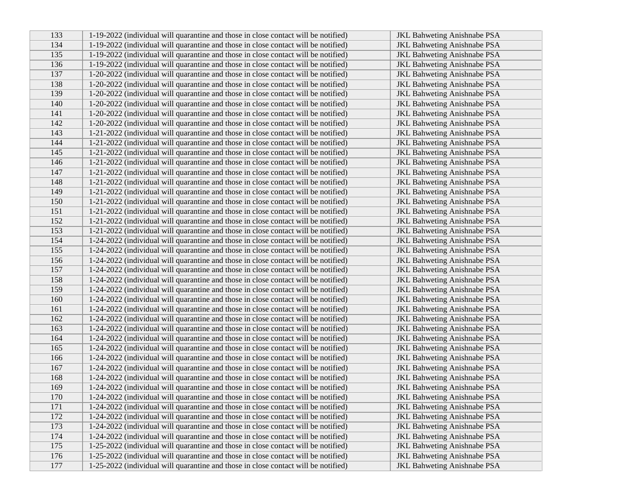| 133 | 1-19-2022 (individual will quarantine and those in close contact will be notified) | <b>JKL Bahweting Anishnabe PSA</b> |
|-----|------------------------------------------------------------------------------------|------------------------------------|
| 134 | 1-19-2022 (individual will quarantine and those in close contact will be notified) | <b>JKL Bahweting Anishnabe PSA</b> |
| 135 | 1-19-2022 (individual will quarantine and those in close contact will be notified) | <b>JKL Bahweting Anishnabe PSA</b> |
| 136 | 1-19-2022 (individual will quarantine and those in close contact will be notified) | <b>JKL Bahweting Anishnabe PSA</b> |
| 137 | 1-20-2022 (individual will quarantine and those in close contact will be notified) | <b>JKL Bahweting Anishnabe PSA</b> |
| 138 | 1-20-2022 (individual will quarantine and those in close contact will be notified) | <b>JKL Bahweting Anishnabe PSA</b> |
| 139 | 1-20-2022 (individual will quarantine and those in close contact will be notified) | JKL Bahweting Anishnabe PSA        |
| 140 | 1-20-2022 (individual will quarantine and those in close contact will be notified) | <b>JKL Bahweting Anishnabe PSA</b> |
| 141 | 1-20-2022 (individual will quarantine and those in close contact will be notified) | <b>JKL Bahweting Anishnabe PSA</b> |
| 142 | 1-20-2022 (individual will quarantine and those in close contact will be notified) | <b>JKL Bahweting Anishnabe PSA</b> |
| 143 | 1-21-2022 (individual will quarantine and those in close contact will be notified) | <b>JKL Bahweting Anishnabe PSA</b> |
| 144 | 1-21-2022 (individual will quarantine and those in close contact will be notified) | <b>JKL Bahweting Anishnabe PSA</b> |
| 145 | 1-21-2022 (individual will quarantine and those in close contact will be notified) | <b>JKL Bahweting Anishnabe PSA</b> |
| 146 | 1-21-2022 (individual will quarantine and those in close contact will be notified) | <b>JKL Bahweting Anishnabe PSA</b> |
| 147 | 1-21-2022 (individual will quarantine and those in close contact will be notified) | <b>JKL Bahweting Anishnabe PSA</b> |
| 148 | 1-21-2022 (individual will quarantine and those in close contact will be notified) | <b>JKL Bahweting Anishnabe PSA</b> |
| 149 | 1-21-2022 (individual will quarantine and those in close contact will be notified) | <b>JKL Bahweting Anishnabe PSA</b> |
| 150 | 1-21-2022 (individual will quarantine and those in close contact will be notified) | <b>JKL Bahweting Anishnabe PSA</b> |
| 151 | 1-21-2022 (individual will quarantine and those in close contact will be notified) | <b>JKL Bahweting Anishnabe PSA</b> |
| 152 | 1-21-2022 (individual will quarantine and those in close contact will be notified) | <b>JKL Bahweting Anishnabe PSA</b> |
| 153 | 1-21-2022 (individual will quarantine and those in close contact will be notified) | <b>JKL Bahweting Anishnabe PSA</b> |
| 154 | 1-24-2022 (individual will quarantine and those in close contact will be notified) | <b>JKL Bahweting Anishnabe PSA</b> |
| 155 | 1-24-2022 (individual will quarantine and those in close contact will be notified) | <b>JKL Bahweting Anishnabe PSA</b> |
| 156 | 1-24-2022 (individual will quarantine and those in close contact will be notified) | <b>JKL Bahweting Anishnabe PSA</b> |
| 157 | 1-24-2022 (individual will quarantine and those in close contact will be notified) | JKL Bahweting Anishnabe PSA        |
| 158 | 1-24-2022 (individual will quarantine and those in close contact will be notified) | <b>JKL Bahweting Anishnabe PSA</b> |
| 159 | 1-24-2022 (individual will quarantine and those in close contact will be notified) | JKL Bahweting Anishnabe PSA        |
| 160 | 1-24-2022 (individual will quarantine and those in close contact will be notified) | <b>JKL Bahweting Anishnabe PSA</b> |
| 161 | 1-24-2022 (individual will quarantine and those in close contact will be notified) | <b>JKL Bahweting Anishnabe PSA</b> |
| 162 | 1-24-2022 (individual will quarantine and those in close contact will be notified) | <b>JKL Bahweting Anishnabe PSA</b> |
| 163 | 1-24-2022 (individual will quarantine and those in close contact will be notified) | <b>JKL Bahweting Anishnabe PSA</b> |
| 164 | 1-24-2022 (individual will quarantine and those in close contact will be notified) | <b>JKL Bahweting Anishnabe PSA</b> |
| 165 | 1-24-2022 (individual will quarantine and those in close contact will be notified) | <b>JKL Bahweting Anishnabe PSA</b> |
| 166 | 1-24-2022 (individual will quarantine and those in close contact will be notified) | <b>JKL Bahweting Anishnabe PSA</b> |
| 167 | 1-24-2022 (individual will quarantine and those in close contact will be notified) | <b>JKL Bahweting Anishnabe PSA</b> |
| 168 | 1-24-2022 (individual will quarantine and those in close contact will be notified) | <b>JKL Bahweting Anishnabe PSA</b> |
| 169 | 1-24-2022 (individual will quarantine and those in close contact will be notified) | <b>JKL Bahweting Anishnabe PSA</b> |
| 170 | 1-24-2022 (individual will quarantine and those in close contact will be notified) | JKL Bahweting Anishnabe PSA        |
| 171 | 1-24-2022 (individual will quarantine and those in close contact will be notified) | <b>JKL Bahweting Anishnabe PSA</b> |
| 172 | 1-24-2022 (individual will quarantine and those in close contact will be notified) | <b>JKL Bahweting Anishnabe PSA</b> |
| 173 | 1-24-2022 (individual will quarantine and those in close contact will be notified) | <b>JKL Bahweting Anishnabe PSA</b> |
| 174 | 1-24-2022 (individual will quarantine and those in close contact will be notified) | <b>JKL Bahweting Anishnabe PSA</b> |
| 175 | 1-25-2022 (individual will quarantine and those in close contact will be notified) | <b>JKL Bahweting Anishnabe PSA</b> |
| 176 | 1-25-2022 (individual will quarantine and those in close contact will be notified) | <b>JKL Bahweting Anishnabe PSA</b> |
| 177 | 1-25-2022 (individual will quarantine and those in close contact will be notified) | <b>JKL Bahweting Anishnabe PSA</b> |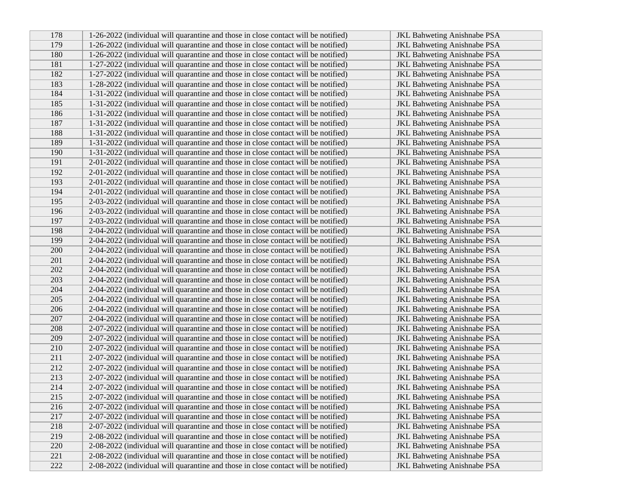| 178 | 1-26-2022 (individual will quarantine and those in close contact will be notified) | <b>JKL Bahweting Anishnabe PSA</b> |
|-----|------------------------------------------------------------------------------------|------------------------------------|
| 179 | 1-26-2022 (individual will quarantine and those in close contact will be notified) | <b>JKL Bahweting Anishnabe PSA</b> |
| 180 | 1-26-2022 (individual will quarantine and those in close contact will be notified) | <b>JKL Bahweting Anishnabe PSA</b> |
| 181 | 1-27-2022 (individual will quarantine and those in close contact will be notified) | <b>JKL Bahweting Anishnabe PSA</b> |
| 182 | 1-27-2022 (individual will quarantine and those in close contact will be notified) | <b>JKL Bahweting Anishnabe PSA</b> |
| 183 | 1-28-2022 (individual will quarantine and those in close contact will be notified) | <b>JKL Bahweting Anishnabe PSA</b> |
| 184 | 1-31-2022 (individual will quarantine and those in close contact will be notified) | JKL Bahweting Anishnabe PSA        |
| 185 | 1-31-2022 (individual will quarantine and those in close contact will be notified) | <b>JKL Bahweting Anishnabe PSA</b> |
| 186 | 1-31-2022 (individual will quarantine and those in close contact will be notified) | <b>JKL Bahweting Anishnabe PSA</b> |
| 187 | 1-31-2022 (individual will quarantine and those in close contact will be notified) | JKL Bahweting Anishnabe PSA        |
| 188 | 1-31-2022 (individual will quarantine and those in close contact will be notified) | <b>JKL Bahweting Anishnabe PSA</b> |
| 189 | 1-31-2022 (individual will quarantine and those in close contact will be notified) | <b>JKL Bahweting Anishnabe PSA</b> |
| 190 | 1-31-2022 (individual will quarantine and those in close contact will be notified) | <b>JKL Bahweting Anishnabe PSA</b> |
| 191 | 2-01-2022 (individual will quarantine and those in close contact will be notified) | <b>JKL Bahweting Anishnabe PSA</b> |
| 192 | 2-01-2022 (individual will quarantine and those in close contact will be notified) | <b>JKL Bahweting Anishnabe PSA</b> |
| 193 | 2-01-2022 (individual will quarantine and those in close contact will be notified) | <b>JKL Bahweting Anishnabe PSA</b> |
| 194 | 2-01-2022 (individual will quarantine and those in close contact will be notified) | <b>JKL Bahweting Anishnabe PSA</b> |
| 195 | 2-03-2022 (individual will quarantine and those in close contact will be notified) | <b>JKL Bahweting Anishnabe PSA</b> |
| 196 | 2-03-2022 (individual will quarantine and those in close contact will be notified) | <b>JKL Bahweting Anishnabe PSA</b> |
| 197 | 2-03-2022 (individual will quarantine and those in close contact will be notified) | <b>JKL Bahweting Anishnabe PSA</b> |
| 198 | 2-04-2022 (individual will quarantine and those in close contact will be notified) | <b>JKL Bahweting Anishnabe PSA</b> |
| 199 | 2-04-2022 (individual will quarantine and those in close contact will be notified) | <b>JKL Bahweting Anishnabe PSA</b> |
| 200 | 2-04-2022 (individual will quarantine and those in close contact will be notified) | <b>JKL Bahweting Anishnabe PSA</b> |
| 201 | 2-04-2022 (individual will quarantine and those in close contact will be notified) | <b>JKL Bahweting Anishnabe PSA</b> |
| 202 | 2-04-2022 (individual will quarantine and those in close contact will be notified) | <b>JKL Bahweting Anishnabe PSA</b> |
| 203 | 2-04-2022 (individual will quarantine and those in close contact will be notified) | <b>JKL Bahweting Anishnabe PSA</b> |
| 204 | 2-04-2022 (individual will quarantine and those in close contact will be notified) | JKL Bahweting Anishnabe PSA        |
| 205 | 2-04-2022 (individual will quarantine and those in close contact will be notified) | <b>JKL Bahweting Anishnabe PSA</b> |
| 206 | 2-04-2022 (individual will quarantine and those in close contact will be notified) | <b>JKL Bahweting Anishnabe PSA</b> |
| 207 | 2-04-2022 (individual will quarantine and those in close contact will be notified) | <b>JKL Bahweting Anishnabe PSA</b> |
| 208 | 2-07-2022 (individual will quarantine and those in close contact will be notified) | <b>JKL Bahweting Anishnabe PSA</b> |
| 209 | 2-07-2022 (individual will quarantine and those in close contact will be notified) | <b>JKL Bahweting Anishnabe PSA</b> |
| 210 | 2-07-2022 (individual will quarantine and those in close contact will be notified) | <b>JKL Bahweting Anishnabe PSA</b> |
| 211 | 2-07-2022 (individual will quarantine and those in close contact will be notified) | <b>JKL Bahweting Anishnabe PSA</b> |
| 212 | 2-07-2022 (individual will quarantine and those in close contact will be notified) | <b>JKL Bahweting Anishnabe PSA</b> |
| 213 | 2-07-2022 (individual will quarantine and those in close contact will be notified) | <b>JKL Bahweting Anishnabe PSA</b> |
| 214 | 2-07-2022 (individual will quarantine and those in close contact will be notified) | <b>JKL Bahweting Anishnabe PSA</b> |
| 215 | 2-07-2022 (individual will quarantine and those in close contact will be notified) | JKL Bahweting Anishnabe PSA        |
| 216 | 2-07-2022 (individual will quarantine and those in close contact will be notified) | JKL Bahweting Anishnabe PSA        |
| 217 | 2-07-2022 (individual will quarantine and those in close contact will be notified) | JKL Bahweting Anishnabe PSA        |
| 218 | 2-07-2022 (individual will quarantine and those in close contact will be notified) | <b>JKL Bahweting Anishnabe PSA</b> |
| 219 | 2-08-2022 (individual will quarantine and those in close contact will be notified) | <b>JKL Bahweting Anishnabe PSA</b> |
| 220 | 2-08-2022 (individual will quarantine and those in close contact will be notified) | <b>JKL Bahweting Anishnabe PSA</b> |
| 221 | 2-08-2022 (individual will quarantine and those in close contact will be notified) | <b>JKL Bahweting Anishnabe PSA</b> |
| 222 | 2-08-2022 (individual will quarantine and those in close contact will be notified) | <b>JKL Bahweting Anishnabe PSA</b> |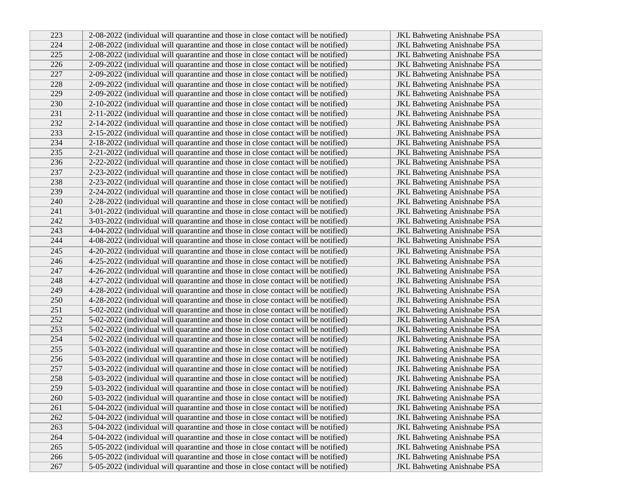| 223 | 2-08-2022 (individual will quarantine and those in close contact will be notified) | <b>JKL Bahweting Anishnabe PSA</b> |
|-----|------------------------------------------------------------------------------------|------------------------------------|
| 224 | 2-08-2022 (individual will quarantine and those in close contact will be notified) | <b>JKL Bahweting Anishnabe PSA</b> |
| 225 | 2-08-2022 (individual will quarantine and those in close contact will be notified) | JKL Bahweting Anishnabe PSA        |
| 226 | 2-09-2022 (individual will quarantine and those in close contact will be notified) | JKL Bahweting Anishnabe PSA        |
| 227 | 2-09-2022 (individual will quarantine and those in close contact will be notified) | <b>JKL Bahweting Anishnabe PSA</b> |
| 228 | 2-09-2022 (individual will quarantine and those in close contact will be notified) | <b>JKL Bahweting Anishnabe PSA</b> |
| 229 | 2-09-2022 (individual will quarantine and those in close contact will be notified) | <b>JKL Bahweting Anishnabe PSA</b> |
| 230 | 2-10-2022 (individual will quarantine and those in close contact will be notified) | <b>JKL Bahweting Anishnabe PSA</b> |
| 231 | 2-11-2022 (individual will quarantine and those in close contact will be notified) | <b>JKL Bahweting Anishnabe PSA</b> |
| 232 | 2-14-2022 (individual will quarantine and those in close contact will be notified) | <b>JKL Bahweting Anishnabe PSA</b> |
| 233 | 2-15-2022 (individual will quarantine and those in close contact will be notified) | <b>JKL Bahweting Anishnabe PSA</b> |
| 234 | 2-18-2022 (individual will quarantine and those in close contact will be notified) | <b>JKL Bahweting Anishnabe PSA</b> |
| 235 | 2-21-2022 (individual will quarantine and those in close contact will be notified) | <b>JKL Bahweting Anishnabe PSA</b> |
| 236 | 2-22-2022 (individual will quarantine and those in close contact will be notified) | <b>JKL Bahweting Anishnabe PSA</b> |
| 237 | 2-23-2022 (individual will quarantine and those in close contact will be notified) | <b>JKL Bahweting Anishnabe PSA</b> |
| 238 | 2-23-2022 (individual will quarantine and those in close contact will be notified) | <b>JKL Bahweting Anishnabe PSA</b> |
| 239 | 2-24-2022 (individual will quarantine and those in close contact will be notified) | <b>JKL Bahweting Anishnabe PSA</b> |
| 240 | 2-28-2022 (individual will quarantine and those in close contact will be notified) | <b>JKL Bahweting Anishnabe PSA</b> |
| 241 | 3-01-2022 (individual will quarantine and those in close contact will be notified) | <b>JKL Bahweting Anishnabe PSA</b> |
| 242 | 3-03-2022 (individual will quarantine and those in close contact will be notified) | <b>JKL Bahweting Anishnabe PSA</b> |
| 243 | 4-04-2022 (individual will quarantine and those in close contact will be notified) | <b>JKL Bahweting Anishnabe PSA</b> |
| 244 | 4-08-2022 (individual will quarantine and those in close contact will be notified) | <b>JKL Bahweting Anishnabe PSA</b> |
| 245 | 4-20-2022 (individual will quarantine and those in close contact will be notified) | <b>JKL Bahweting Anishnabe PSA</b> |
| 246 | 4-25-2022 (individual will quarantine and those in close contact will be notified) | <b>JKL Bahweting Anishnabe PSA</b> |
| 247 | 4-26-2022 (individual will quarantine and those in close contact will be notified) | <b>JKL Bahweting Anishnabe PSA</b> |
| 248 | 4-27-2022 (individual will quarantine and those in close contact will be notified) | <b>JKL Bahweting Anishnabe PSA</b> |
| 249 | 4-28-2022 (individual will quarantine and those in close contact will be notified) | <b>JKL Bahweting Anishnabe PSA</b> |
| 250 | 4-28-2022 (individual will quarantine and those in close contact will be notified) | <b>JKL Bahweting Anishnabe PSA</b> |
| 251 | 5-02-2022 (individual will quarantine and those in close contact will be notified) | JKL Bahweting Anishnabe PSA        |
| 252 | 5-02-2022 (individual will quarantine and those in close contact will be notified) | <b>JKL Bahweting Anishnabe PSA</b> |
| 253 | 5-02-2022 (individual will quarantine and those in close contact will be notified) | <b>JKL Bahweting Anishnabe PSA</b> |
| 254 | 5-02-2022 (individual will quarantine and those in close contact will be notified) | <b>JKL Bahweting Anishnabe PSA</b> |
| 255 | 5-03-2022 (individual will quarantine and those in close contact will be notified) | <b>JKL Bahweting Anishnabe PSA</b> |
| 256 | 5-03-2022 (individual will quarantine and those in close contact will be notified) | <b>JKL Bahweting Anishnabe PSA</b> |
| 257 | 5-03-2022 (individual will quarantine and those in close contact will be notified) | <b>JKL Bahweting Anishnabe PSA</b> |
| 258 | 5-03-2022 (individual will quarantine and those in close contact will be notified) | <b>JKL Bahweting Anishnabe PSA</b> |
| 259 | 5-03-2022 (individual will quarantine and those in close contact will be notified) | <b>JKL Bahweting Anishnabe PSA</b> |
| 260 | 5-03-2022 (individual will quarantine and those in close contact will be notified) | <b>JKL Bahweting Anishnabe PSA</b> |
| 261 | 5-04-2022 (individual will quarantine and those in close contact will be notified) | <b>JKL Bahweting Anishnabe PSA</b> |
| 262 | 5-04-2022 (individual will quarantine and those in close contact will be notified) | JKL Bahweting Anishnabe PSA        |
| 263 | 5-04-2022 (individual will quarantine and those in close contact will be notified) | <b>JKL Bahweting Anishnabe PSA</b> |
| 264 | 5-04-2022 (individual will quarantine and those in close contact will be notified) | <b>JKL Bahweting Anishnabe PSA</b> |
| 265 | 5-05-2022 (individual will quarantine and those in close contact will be notified) | <b>JKL Bahweting Anishnabe PSA</b> |
| 266 | 5-05-2022 (individual will quarantine and those in close contact will be notified) | JKL Bahweting Anishnabe PSA        |
| 267 | 5-05-2022 (individual will quarantine and those in close contact will be notified) | <b>JKL</b> Bahweting Anishnabe PSA |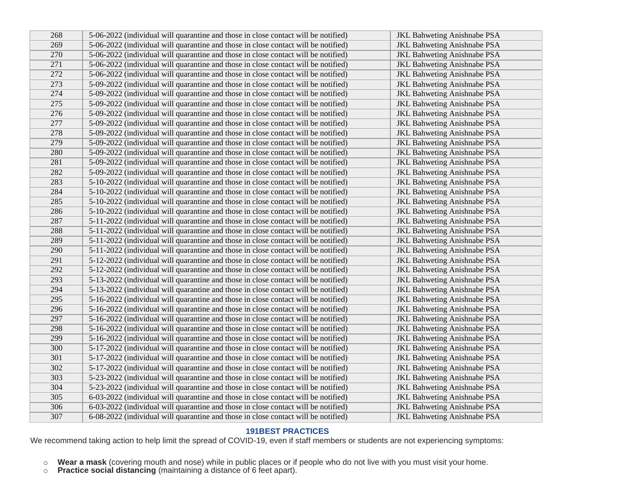| 268 | 5-06-2022 (individual will quarantine and those in close contact will be notified) | <b>JKL Bahweting Anishnabe PSA</b> |
|-----|------------------------------------------------------------------------------------|------------------------------------|
| 269 | 5-06-2022 (individual will quarantine and those in close contact will be notified) | <b>JKL Bahweting Anishnabe PSA</b> |
| 270 | 5-06-2022 (individual will quarantine and those in close contact will be notified) | <b>JKL Bahweting Anishnabe PSA</b> |
| 271 | 5-06-2022 (individual will quarantine and those in close contact will be notified) | <b>JKL Bahweting Anishnabe PSA</b> |
| 272 | 5-06-2022 (individual will quarantine and those in close contact will be notified) | <b>JKL Bahweting Anishnabe PSA</b> |
| 273 | 5-09-2022 (individual will quarantine and those in close contact will be notified) | <b>JKL Bahweting Anishnabe PSA</b> |
| 274 | 5-09-2022 (individual will quarantine and those in close contact will be notified) | <b>JKL Bahweting Anishnabe PSA</b> |
| 275 | 5-09-2022 (individual will quarantine and those in close contact will be notified) | <b>JKL Bahweting Anishnabe PSA</b> |
| 276 | 5-09-2022 (individual will quarantine and those in close contact will be notified) | <b>JKL Bahweting Anishnabe PSA</b> |
| 277 | 5-09-2022 (individual will quarantine and those in close contact will be notified) | <b>JKL Bahweting Anishnabe PSA</b> |
| 278 | 5-09-2022 (individual will quarantine and those in close contact will be notified) | <b>JKL Bahweting Anishnabe PSA</b> |
| 279 | 5-09-2022 (individual will quarantine and those in close contact will be notified) | <b>JKL Bahweting Anishnabe PSA</b> |
| 280 | 5-09-2022 (individual will quarantine and those in close contact will be notified) | JKL Bahweting Anishnabe PSA        |
| 281 | 5-09-2022 (individual will quarantine and those in close contact will be notified) | <b>JKL Bahweting Anishnabe PSA</b> |
| 282 | 5-09-2022 (individual will quarantine and those in close contact will be notified) | <b>JKL Bahweting Anishnabe PSA</b> |
| 283 | 5-10-2022 (individual will quarantine and those in close contact will be notified) | JKL Bahweting Anishnabe PSA        |
| 284 | 5-10-2022 (individual will quarantine and those in close contact will be notified) | <b>JKL Bahweting Anishnabe PSA</b> |
| 285 | 5-10-2022 (individual will quarantine and those in close contact will be notified) | <b>JKL Bahweting Anishnabe PSA</b> |
| 286 | 5-10-2022 (individual will quarantine and those in close contact will be notified) | <b>JKL Bahweting Anishnabe PSA</b> |
| 287 | 5-11-2022 (individual will quarantine and those in close contact will be notified) | <b>JKL Bahweting Anishnabe PSA</b> |
| 288 | 5-11-2022 (individual will quarantine and those in close contact will be notified) | <b>JKL Bahweting Anishnabe PSA</b> |
| 289 | 5-11-2022 (individual will quarantine and those in close contact will be notified) | <b>JKL Bahweting Anishnabe PSA</b> |
| 290 | 5-11-2022 (individual will quarantine and those in close contact will be notified) | <b>JKL Bahweting Anishnabe PSA</b> |
| 291 | 5-12-2022 (individual will quarantine and those in close contact will be notified) | <b>JKL Bahweting Anishnabe PSA</b> |
| 292 | 5-12-2022 (individual will quarantine and those in close contact will be notified) | <b>JKL Bahweting Anishnabe PSA</b> |
| 293 | 5-13-2022 (individual will quarantine and those in close contact will be notified) | JKL Bahweting Anishnabe PSA        |
| 294 | 5-13-2022 (individual will quarantine and those in close contact will be notified) | <b>JKL Bahweting Anishnabe PSA</b> |
| 295 | 5-16-2022 (individual will quarantine and those in close contact will be notified) | <b>JKL Bahweting Anishnabe PSA</b> |
| 296 | 5-16-2022 (individual will quarantine and those in close contact will be notified) | <b>JKL Bahweting Anishnabe PSA</b> |
| 297 | 5-16-2022 (individual will quarantine and those in close contact will be notified) | <b>JKL Bahweting Anishnabe PSA</b> |
| 298 | 5-16-2022 (individual will quarantine and those in close contact will be notified) | <b>JKL Bahweting Anishnabe PSA</b> |
| 299 | 5-16-2022 (individual will quarantine and those in close contact will be notified) | <b>JKL Bahweting Anishnabe PSA</b> |
| 300 | 5-17-2022 (individual will quarantine and those in close contact will be notified) | <b>JKL Bahweting Anishnabe PSA</b> |
| 301 | 5-17-2022 (individual will quarantine and those in close contact will be notified) | <b>JKL Bahweting Anishnabe PSA</b> |
| 302 | 5-17-2022 (individual will quarantine and those in close contact will be notified) | <b>JKL Bahweting Anishnabe PSA</b> |
| 303 | 5-23-2022 (individual will quarantine and those in close contact will be notified) | <b>JKL Bahweting Anishnabe PSA</b> |
| 304 | 5-23-2022 (individual will quarantine and those in close contact will be notified) | <b>JKL Bahweting Anishnabe PSA</b> |
| 305 | 6-03-2022 (individual will quarantine and those in close contact will be notified) | <b>JKL Bahweting Anishnabe PSA</b> |
| 306 | 6-03-2022 (individual will quarantine and those in close contact will be notified) | <b>JKL Bahweting Anishnabe PSA</b> |
| 307 | 6-08-2022 (individual will quarantine and those in close contact will be notified) | <b>JKL Bahweting Anishnabe PSA</b> |

## **191BEST PRACTICES**

We recommend taking action to help limit the spread of COVID-19, even if staff members or students are not experiencing symptoms:

- o **Wear a mask** (covering mouth and nose) while in public places or if people who do not live with you must visit your home.
- o **Practice social distancing** (maintaining a distance of 6 feet apart).